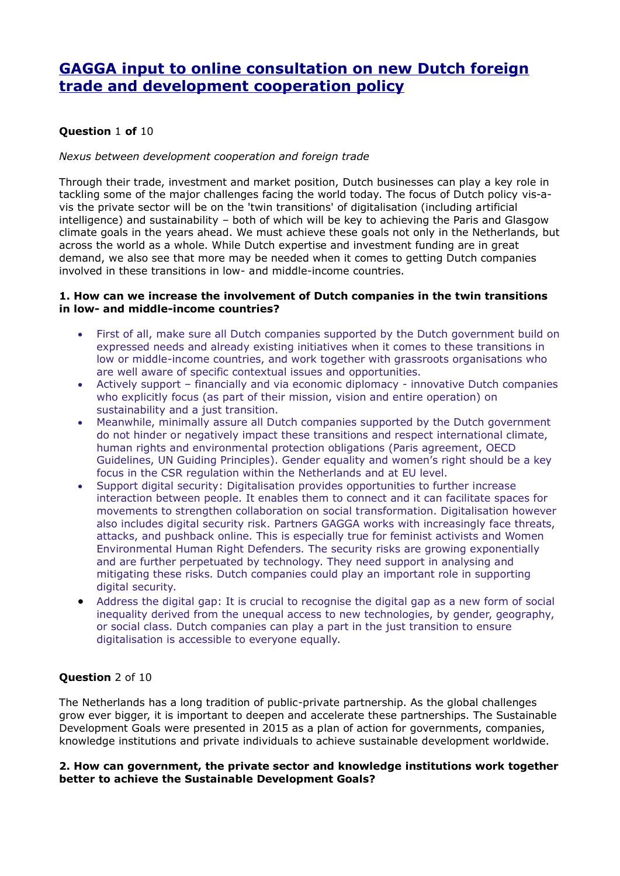# **[GAGGA input to online consultation on new Dutch foreign](https://www.internetconsultatie.nl/bhosnota/reactie/84c837cc-197b-4b83-8608-62890e3c3da8)  [trade and development cooperation policy](https://www.internetconsultatie.nl/bhosnota/reactie/84c837cc-197b-4b83-8608-62890e3c3da8)**

# **Question** 1 **of** 10

## *Nexus between development cooperation and foreign trade*

Through their trade, investment and market position, Dutch businesses can play a key role in tackling some of the major challenges facing the world today. The focus of Dutch policy vis-avis the private sector will be on the 'twin transitions' of digitalisation (including artificial intelligence) and sustainability – both of which will be key to achieving the Paris and Glasgow climate goals in the years ahead. We must achieve these goals not only in the Netherlands, but across the world as a whole. While Dutch expertise and investment funding are in great demand, we also see that more may be needed when it comes to getting Dutch companies involved in these transitions in low- and middle-income countries.

## **1. How can we increase the involvement of Dutch companies in the twin transitions in low- and middle-income countries?**

- First of all, make sure all Dutch companies supported by the Dutch government build on expressed needs and already existing initiatives when it comes to these transitions in low or middle-income countries, and work together with grassroots organisations who are well aware of specific contextual issues and opportunities.
- Actively support financially and via economic diplomacy innovative Dutch companies who explicitly focus (as part of their mission, vision and entire operation) on sustainability and a just transition.
- Meanwhile, minimally assure all Dutch companies supported by the Dutch government do not hinder or negatively impact these transitions and respect international climate, human rights and environmental protection obligations (Paris agreement, OECD Guidelines, UN Guiding Principles). Gender equality and women's right should be a key focus in the CSR regulation within the Netherlands and at EU level.
- Support digital security: Digitalisation provides opportunities to further increase interaction between people. It enables them to connect and it can facilitate spaces for movements to strengthen collaboration on social transformation. Digitalisation however also includes digital security risk. Partners GAGGA works with increasingly face threats, attacks, and pushback online. This is especially true for feminist activists and Women Environmental Human Right Defenders. The security risks are growing exponentially and are further perpetuated by technology. They need support in analysing and mitigating these risks. Dutch companies could play an important role in supporting digital security.
- Address the digital gap: It is crucial to recognise the digital gap as a new form of social inequality derived from the unequal access to new technologies, by gender, geography, or social class. Dutch companies can play a part in the just transition to ensure digitalisation is accessible to everyone equally.

## **Question** 2 of 10

The Netherlands has a long tradition of public-private partnership. As the global challenges grow ever bigger, it is important to deepen and accelerate these partnerships. The Sustainable Development Goals were presented in 2015 as a plan of action for governments, companies, knowledge institutions and private individuals to achieve sustainable development worldwide.

#### **2. How can government, the private sector and knowledge institutions work together better to achieve the Sustainable Development Goals?**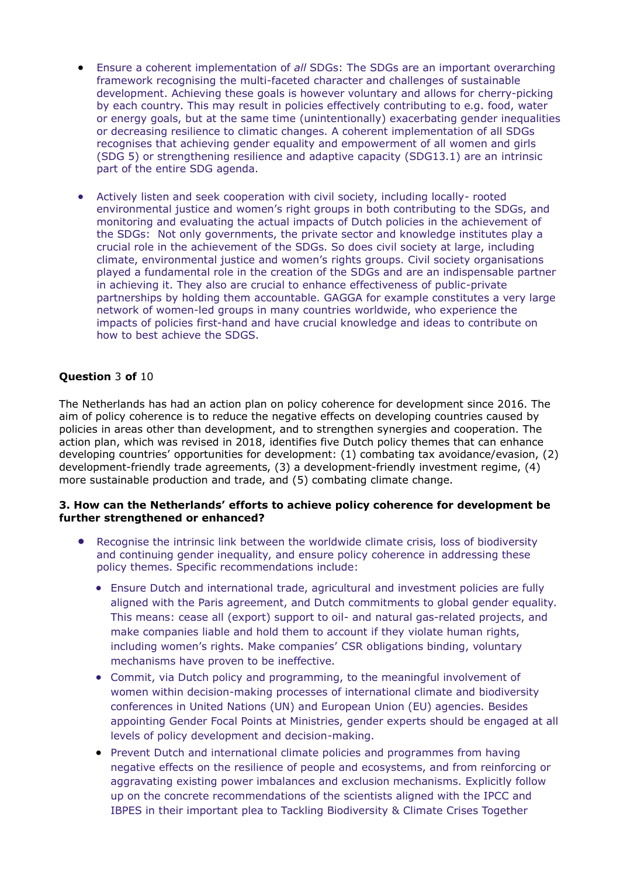- Ensure a coherent implementation of *all* SDGs: The SDGs are an important overarching framework recognising the multi-faceted character and challenges of sustainable development. Achieving these goals is however voluntary and allows for cherry-picking by each country. This may result in policies effectively contributing to e.g. food, water or energy goals, but at the same time (unintentionally) exacerbating gender inequalities or decreasing resilience to climatic changes. A coherent implementation of all SDGs recognises that achieving gender equality and empowerment of all women and girls (SDG 5) or strengthening resilience and adaptive capacity (SDG13.1) are an intrinsic part of the entire SDG agenda.
- Actively listen and seek cooperation with civil society, including locally- rooted environmental justice and women's right groups in both contributing to the SDGs, and monitoring and evaluating the actual impacts of Dutch policies in the achievement of the SDGs: Not only governments, the private sector and knowledge institutes play a crucial role in the achievement of the SDGs. So does civil society at large, including climate, environmental justice and women's rights groups. Civil society organisations played a fundamental role in the creation of the SDGs and are an indispensable partner in achieving it. They also are crucial to enhance effectiveness of public-private partnerships by holding them accountable. GAGGA for example constitutes a very large network of women-led groups in many countries worldwide, who experience the impacts of policies first-hand and have crucial knowledge and ideas to contribute on how to best achieve the SDGS.

## **Question** 3 **of** 10

The Netherlands has had an action plan on policy coherence for development since 2016. The aim of policy coherence is to reduce the negative effects on developing countries caused by policies in areas other than development, and to strengthen synergies and cooperation. The action plan, which was revised in 2018, identifies five Dutch policy themes that can enhance developing countries' opportunities for development: (1) combating tax avoidance/evasion, (2) development-friendly trade agreements, (3) a development-friendly investment regime, (4) more sustainable production and trade, and (5) combating climate change.

## **3. How can the Netherlands' efforts to achieve policy coherence for development be further strengthened or enhanced?**

- Recognise the intrinsic link between the worldwide climate crisis, loss of biodiversity and continuing gender inequality, and ensure policy coherence in addressing these policy themes. Specific recommendations include:
	- Ensure Dutch and international trade, agricultural and investment policies are fully aligned with the Paris agreement, and Dutch commitments to global gender equality. This means: cease all (export) support to oil- and natural gas-related projects, and make companies liable and hold them to account if they violate human rights, including women's rights. Make companies' CSR obligations binding, voluntary mechanisms have proven to be ineffective.
	- Commit, via Dutch policy and programming, to the meaningful involvement of women within decision-making processes of international climate and biodiversity conferences in United Nations (UN) and European Union (EU) agencies. Besides appointing Gender Focal Points at Ministries, gender experts should be engaged at all levels of policy development and decision-making.
	- Prevent Dutch and international climate policies and programmes from having negative effects on the resilience of people and ecosystems, and from reinforcing or aggravating existing power imbalances and exclusion mechanisms. Explicitly follow up on the concrete recommendations of the scientists aligned with the IPCC and IBPES in their important plea to Tackling Biodiversity & Climate Crises Together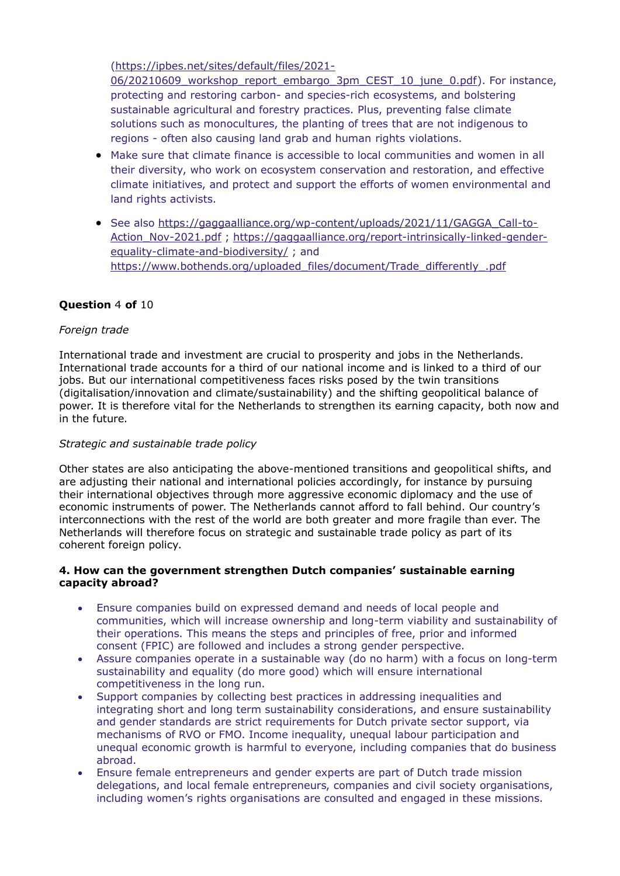[\(https://ipbes.net/sites/default/files/2021-](https://ipbes.net/sites/default/files/2021-06/20210609_workshop_report_embargo_3pm_CEST_10_june_0.pdf)

06/20210609 workshop report embargo 3pm CEST 10 june 0.pdf). For instance, protecting and restoring carbon- and species-rich ecosystems, and bolstering sustainable agricultural and forestry practices. Plus, preventing false climate solutions such as monocultures, the planting of trees that are not indigenous to regions - often also causing land grab and human rights violations.

- Make sure that climate finance is accessible to local communities and women in all their diversity, who work on ecosystem conservation and restoration, and effective climate initiatives, and protect and support the efforts of women environmental and land rights activists.
- See also [https://gaggaalliance.org/wp-content/uploads/2021/11/GAGGA\\_Call-to-](https://gaggaalliance.org/wp-content/uploads/2021/11/GAGGA_Call-to-Action_Nov-2021.pdf)[Action\\_Nov-2021.pdf](https://gaggaalliance.org/wp-content/uploads/2021/11/GAGGA_Call-to-Action_Nov-2021.pdf) ; [https://gaggaalliance.org/report-intrinsically-linked-gender](https://gaggaalliance.org/report-intrinsically-linked-gender-equality-climate-and-biodiversity/)[equality-climate-and-biodiversity/](https://gaggaalliance.org/report-intrinsically-linked-gender-equality-climate-and-biodiversity/) ; and [https://www.bothends.org/uploaded\\_files/document/Trade\\_differently\\_.pdf](https://www.bothends.org/uploaded_files/document/Trade_differently_.pdf)

# **Question** 4 **of** 10

## *Foreign trade*

International trade and investment are crucial to prosperity and jobs in the Netherlands. International trade accounts for a third of our national income and is linked to a third of our jobs. But our international competitiveness faces risks posed by the twin transitions (digitalisation/innovation and climate/sustainability) and the shifting geopolitical balance of power. It is therefore vital for the Netherlands to strengthen its earning capacity, both now and in the future.

## *Strategic and sustainable trade policy*

Other states are also anticipating the above-mentioned transitions and geopolitical shifts, and are adjusting their national and international policies accordingly, for instance by pursuing their international objectives through more aggressive economic diplomacy and the use of economic instruments of power. The Netherlands cannot afford to fall behind. Our country's interconnections with the rest of the world are both greater and more fragile than ever. The Netherlands will therefore focus on strategic and sustainable trade policy as part of its coherent foreign policy.

## **4. How can the government strengthen Dutch companies' sustainable earning capacity abroad?**

- Ensure companies build on expressed demand and needs of local people and communities, which will increase ownership and long-term viability and sustainability of their operations. This means the steps and principles of free, prior and informed consent (FPIC) are followed and includes a strong gender perspective.
- Assure companies operate in a sustainable way (do no harm) with a focus on long-term sustainability and equality (do more good) which will ensure international competitiveness in the long run.
- Support companies by collecting best practices in addressing inequalities and integrating short and long term sustainability considerations, and ensure sustainability and gender standards are strict requirements for Dutch private sector support, via mechanisms of RVO or FMO. Income inequality, unequal labour participation and unequal economic growth is harmful to everyone, including companies that do business abroad.
- Ensure female entrepreneurs and gender experts are part of Dutch trade mission delegations, and local female entrepreneurs, companies and civil society organisations, including women's rights organisations are consulted and engaged in these missions.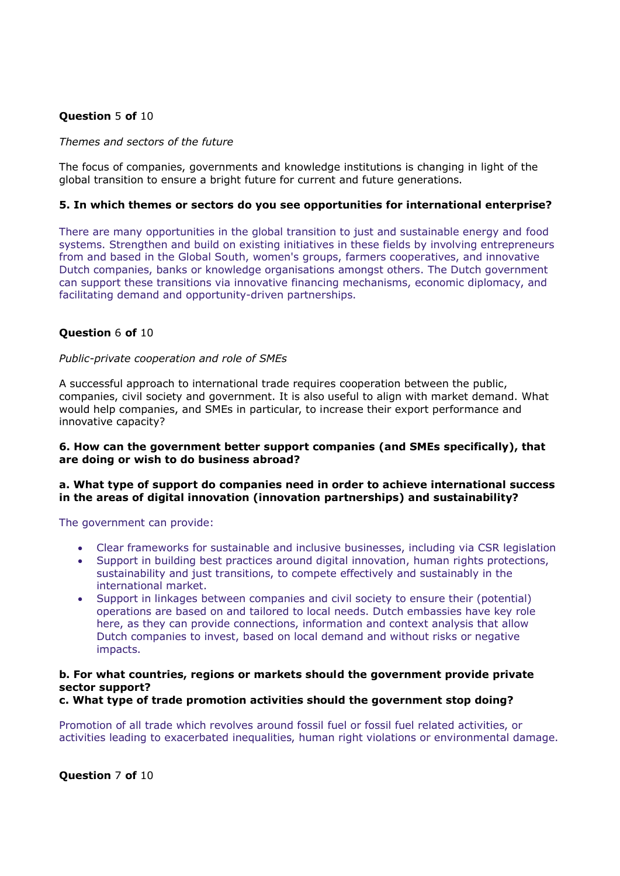## **Question** 5 **of** 10

#### *Themes and sectors of the future*

The focus of companies, governments and knowledge institutions is changing in light of the global transition to ensure a bright future for current and future generations.

#### **5. In which themes or sectors do you see opportunities for international enterprise?**

There are many opportunities in the global transition to just and sustainable energy and food systems. Strengthen and build on existing initiatives in these fields by involving entrepreneurs from and based in the Global South, women's groups, farmers cooperatives, and innovative Dutch companies, banks or knowledge organisations amongst others. The Dutch government can support these transitions via innovative financing mechanisms, economic diplomacy, and facilitating demand and opportunity-driven partnerships.

#### **Question** 6 **of** 10

#### *Public-private cooperation and role of SMEs*

A successful approach to international trade requires cooperation between the public, companies, civil society and government. It is also useful to align with market demand. What would help companies, and SMEs in particular, to increase their export performance and innovative capacity?

#### **6. How can the government better support companies (and SMEs specifically), that are doing or wish to do business abroad?**

#### **a. What type of support do companies need in order to achieve international success in the areas of digital innovation (innovation partnerships) and sustainability?**

#### The government can provide:

- Clear frameworks for sustainable and inclusive businesses, including via CSR legislation
- Support in building best practices around digital innovation, human rights protections, sustainability and just transitions, to compete effectively and sustainably in the international market.
- Support in linkages between companies and civil society to ensure their (potential) operations are based on and tailored to local needs. Dutch embassies have key role here, as they can provide connections, information and context analysis that allow Dutch companies to invest, based on local demand and without risks or negative impacts.

#### **b. For what countries, regions or markets should the government provide private sector support?**

#### **c. What type of trade promotion activities should the government stop doing?**

Promotion of all trade which revolves around fossil fuel or fossil fuel related activities, or activities leading to exacerbated inequalities, human right violations or environmental damage.

**Question** 7 **of** 10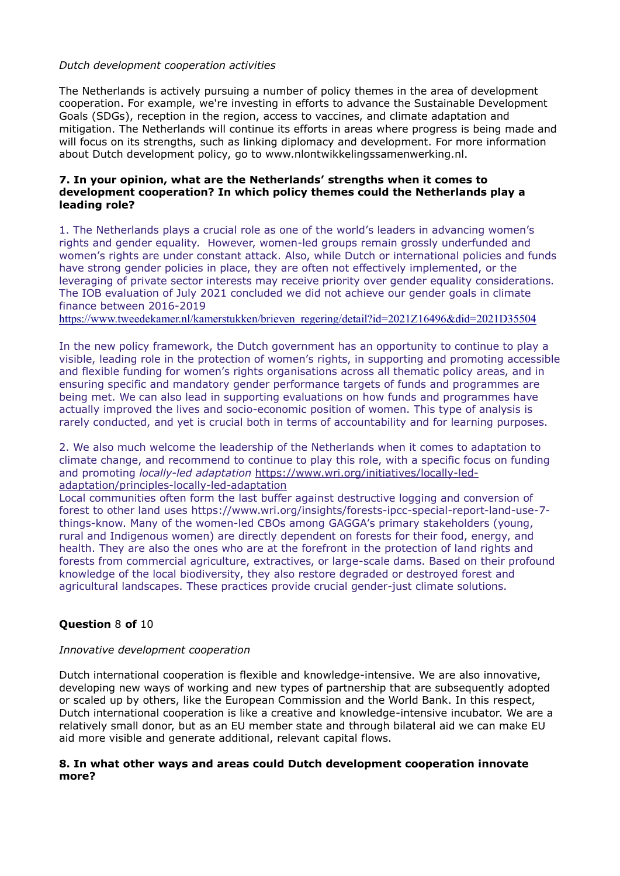## *Dutch development cooperation activities*

The Netherlands is actively pursuing a number of policy themes in the area of development cooperation. For example, we're investing in efforts to advance the Sustainable Development Goals (SDGs), reception in the region, access to vaccines, and climate adaptation and mitigation. The Netherlands will continue its efforts in areas where progress is being made and will focus on its strengths, such as linking diplomacy and development. For more information about Dutch development policy, go to www.nlontwikkelingssamenwerking.nl.

## **7. In your opinion, what are the Netherlands' strengths when it comes to development cooperation? In which policy themes could the Netherlands play a leading role?**

1. The Netherlands plays a crucial role as one of the world's leaders in advancing women's rights and gender equality. However, women-led groups remain grossly underfunded and women's rights are under constant attack. Also, while Dutch or international policies and funds have strong gender policies in place, they are often not effectively implemented, or the leveraging of private sector interests may receive priority over gender equality considerations. The IOB evaluation of July 2021 concluded we did not achieve our gender goals in climate finance between 2016-2019

[https://www.tweedekamer.nl/kamerstukken/brieven\\_regering/detail?id=2021Z16496&did=2021D35504](https://www.tweedekamer.nl/kamerstukken/brieven_regering/detail?id=2021Z16496&did=2021D35504)

In the new policy framework, the Dutch government has an opportunity to continue to play a visible, leading role in the protection of women's rights, in supporting and promoting accessible and flexible funding for women's rights organisations across all thematic policy areas, and in ensuring specific and mandatory gender performance targets of funds and programmes are being met. We can also lead in supporting evaluations on how funds and programmes have actually improved the lives and socio-economic position of women. This type of analysis is rarely conducted, and yet is crucial both in terms of accountability and for learning purposes.

2. We also much welcome the leadership of the Netherlands when it comes to adaptation to climate change, and recommend to continue to play this role, with a specific focus on funding and promoting *locally-led adaptation* [https://www.wri.org/initiatives/locally-led](https://www.wri.org/initiatives/locally-led-adaptation/principles-locally-led-adaptation)[adaptation/principles-locally-led-adaptation](https://www.wri.org/initiatives/locally-led-adaptation/principles-locally-led-adaptation)

Local communities often form the last buffer against destructive logging and conversion of forest to other land uses [https://www.wri.org/insights/forests-ipcc-special-report-land-use-7](https://www.wri.org/insights/forests-ipcc-special-report-land-use-7-things-know) [things-know.](https://www.wri.org/insights/forests-ipcc-special-report-land-use-7-things-know) Many of the women-led CBOs among GAGGA's primary stakeholders (young, rural and Indigenous women) are directly dependent on forests for their food, energy, and health. They are also the ones who are at the forefront in the protection of land rights and forests from commercial agriculture, extractives, or large-scale dams. Based on their profound knowledge of the local biodiversity, they also restore degraded or destroyed forest and agricultural landscapes. These practices provide crucial gender-just climate solutions.

## **Question** 8 **of** 10

#### *Innovative development cooperation*

Dutch international cooperation is flexible and knowledge-intensive. We are also innovative, developing new ways of working and new types of partnership that are subsequently adopted or scaled up by others, like the European Commission and the World Bank. In this respect, Dutch international cooperation is like a creative and knowledge-intensive incubator. We are a relatively small donor, but as an EU member state and through bilateral aid we can make EU aid more visible and generate additional, relevant capital flows.

#### **8. In what other ways and areas could Dutch development cooperation innovate more?**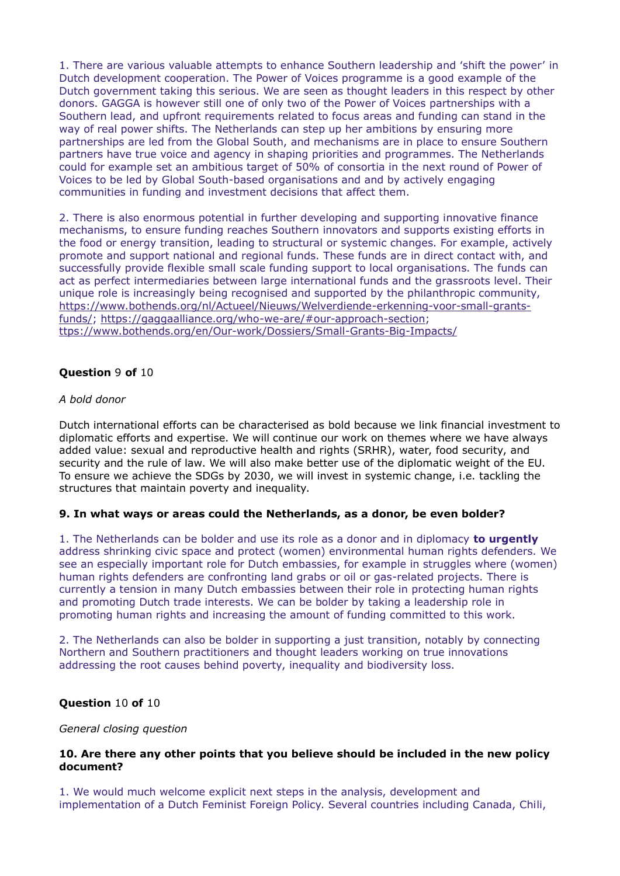1. There are various valuable attempts to enhance Southern leadership and 'shift the power' in Dutch development cooperation. The Power of Voices programme is a good example of the Dutch government taking this serious. We are seen as thought leaders in this respect by other donors. GAGGA is however still one of only two of the Power of Voices partnerships with a Southern lead, and upfront requirements related to focus areas and funding can stand in the way of real power shifts. The Netherlands can step up her ambitions by ensuring more partnerships are led from the Global South, and mechanisms are in place to ensure Southern partners have true voice and agency in shaping priorities and programmes. The Netherlands could for example set an ambitious target of 50% of consortia in the next round of Power of Voices to be led by Global South-based organisations and and by actively engaging communities in funding and investment decisions that affect them.

2. There is also enormous potential in further developing and supporting innovative finance mechanisms, to ensure funding reaches Southern innovators and supports existing efforts in the food or energy transition, leading to structural or systemic changes. For example, actively promote and support national and regional funds. These funds are in direct contact with, and successfully provide flexible small scale funding support to local organisations. The funds can act as perfect intermediaries between large international funds and the grassroots level. Their unique role is increasingly being recognised and supported by the philanthropic community, [https://www.bothends.org/nl/Actueel/Nieuws/Welverdiende-erkenning-voor-small-grants](https://www.bothends.org/nl/Actueel/Nieuws/Welverdiende-erkenning-voor-small-grants-funds/)[funds/;](https://www.bothends.org/nl/Actueel/Nieuws/Welverdiende-erkenning-voor-small-grants-funds/) [https://gaggaalliance.org/who-we-are/#our-approach-section;](https://gaggaalliance.org/who-we-are/#our-approach-section) [ttps://www.bothends.org/en/Our-work/Dossiers/Small-Grants-Big-Impacts/](https://www.bothends.org/en/Our-work/Dossiers/Small-Grants-Big-Impacts/)

## **Question** 9 **of** 10

#### *A bold donor*

Dutch international efforts can be characterised as bold because we link financial investment to diplomatic efforts and expertise. We will continue our work on themes where we have always added value: sexual and reproductive health and rights (SRHR), water, food security, and security and the rule of law. We will also make better use of the diplomatic weight of the EU. To ensure we achieve the SDGs by 2030, we will invest in systemic change, i.e. tackling the structures that maintain poverty and inequality.

#### **9. In what ways or areas could the Netherlands, as a donor, be even bolder?**

1. The Netherlands can be bolder and use its role as a donor and in diplomacy **to urgently**  address shrinking civic space and protect (women) environmental human rights defenders. We see an especially important role for Dutch embassies, for example in struggles where (women) human rights defenders are confronting land grabs or oil or gas-related projects. There is currently a tension in many Dutch embassies between their role in protecting human rights and promoting Dutch trade interests. We can be bolder by taking a leadership role in promoting human rights and increasing the amount of funding committed to this work.

2. The Netherlands can also be bolder in supporting a just transition, notably by connecting Northern and Southern practitioners and thought leaders working on true innovations addressing the root causes behind poverty, inequality and biodiversity loss.

#### **Question** 10 **of** 10

#### *General closing question*

#### **10. Are there any other points that you believe should be included in the new policy document?**

1. We would much welcome explicit next steps in the analysis, development and implementation of a Dutch Feminist Foreign Policy. Several countries including Canada, Chili,